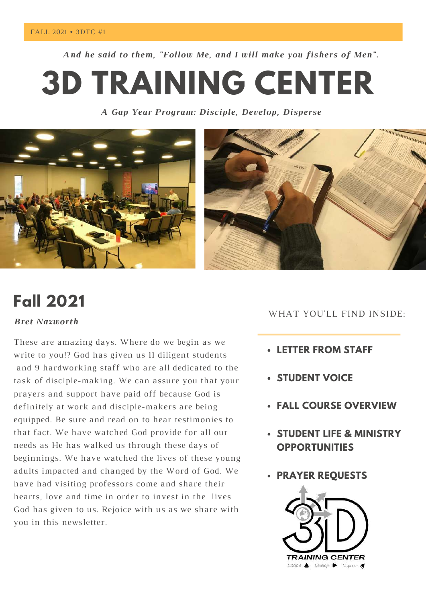*And he said to them, "Follow Me, and I will make you fishers of Men".*

**3D TRAINING CENTER**

*A Gap Year Program: Disciple, Develop, Disperse*



# **Fall 2021**

### *Bret Nazworth*

These are amazing days. Where do we begin as we write to you!? God has given us 11 diligent students and 9 hardworking staff who are all dedicated to the task of disciple-making. We can assure you that your prayers and support have paid off because God is definitely at work and disciple-makers are being equipped. Be sure and read on to hear testimonies to that fact. We have watched God provide for all our needs as He has walked us through these days of beginnings. We have watched the lives of these young adults impacted and changed by the Word of God. We have had visiting professors come and share their hearts, love and time in order to invest in the lives God has given to us. Rejoice with us as we share with you in this newsletter.

## WHAT YOU'LL FIND INSIDE:

- **LETTER FROM STAFF**
- **STUDENT VOICE**
- **FALL COURSE OVERVIEW**
- **STUDENT LIFE & MINISTRY OPPORTUNITIES**
- **PRAYER REQUESTS**

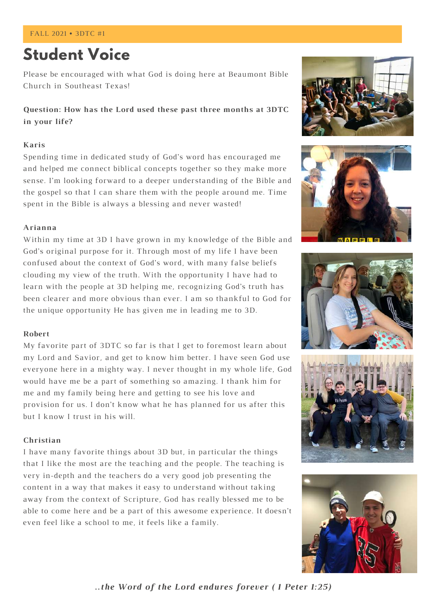## **Student Voice**

Please be encouraged with what God is doing here at Beaumont Bible Church in Southeast Texas!

**Question: How has the Lord used these past three months at 3DTC in your life?**

#### **Karis**

Spending time in dedicated study of God's word has encouraged me and helped me connect biblical concepts together so they make more sense. I'm looking forward to a deeper understanding of the Bible and the gospel so that I can share them with the people around me. Time spent in the Bible is always a blessing and never wasted!

#### **Arianna**

Within my time at 3D I have grown in my knowledge of the Bible and God's original purpose for it. Through most of my life I have been confused about the context of God's word, with many false beliefs clouding my view of the truth. With the opportunity I have had to learn with the people at 3D helping me, recognizing God's truth has been clearer and more obvious than ever. I am so thankful to God for the unique opportunity He has given me in leading me to 3D.

#### **Robert**

My favorite part of 3DTC so far is that I get to foremost learn about my Lord and Savior, and get to know him better. I have seen God use everyone here in a mighty way. I never thought in my whole life, God would have me be a part of something so amazing. I thank him for me and my family being here and getting to see his love and provision for us. I don't know what he has planned for us after this but I know I trust in his will.

#### **Christian**

I have many favorite things about 3D but, in particular the things that I like the most are the teaching and the people. The teaching is very in-depth and the teachers do a very good job presenting the content in a way that makes it easy to understand without taking away from the context of Scripture, God has really blessed me to be able to come here and be a part of this awesome experience. It doesn't even feel like a school to me, it feels like a family.











*..the Word of the Lord endures forever ( 1 Peter 1:25)*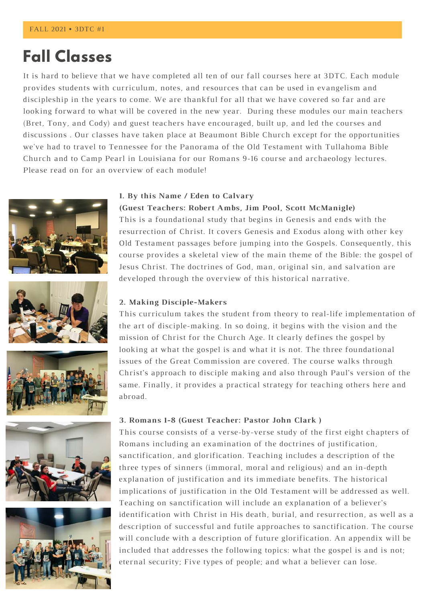## **Fall Classes**

It is hard to believe that we have completed all ten of our fall courses here at 3DTC. Each module provides students with curriculum, notes, and resources that can be used in evangelism and discipleship in the years to come. We are thankful for all that we have covered so far and are looking forward to what will be covered in the new year. During these modules our main teachers (Bret, Tony, and Cody) and guest teachers have encouraged, built up, and led the courses and discussions . Our classes have taken place at Beaumont Bible Church except for the opportunities we've had to travel to Tennessee for the Panorama of the Old Testament with Tullahoma Bible Church and to Camp Pearl in Louisiana for our Romans 9-16 course and archaeology lectures. Please read on for an overview of each module!











#### **1. By this Name / Eden to Calvary**

**(Guest Teachers: Robert Ambs, Jim Pool, Scott McManigle)** This is a foundational study that begins in Genesis and ends with the resurrection of Christ. It covers Genesis and Exodus along with other key Old Testament passages before jumping into the Gospels. Consequently, this course provides a skeletal view of the main theme of the Bible: the gospel of Jesus Christ. The doctrines of God, man, original sin, and salvation are developed through the overview of this historical narrative.

#### **2. Making Disciple-Makers**

This curriculum takes the student from theory to real-life implementation of the art of disciple-making. In so doing, it begins with the vision and the mission of Christ for the Church Age. It clearly defines the gospel by looking at what the gospel is and what it is not. The three foundational issues of the Great Commission are covered. The course walks through Christ's approach to disciple making and also through Paul's version of the same. Finally, it provides a practical strategy for teaching others here and abroad.

#### **3. Romans 1-8 (Guest Teacher: Pastor John Clark )**

This course consists of a verse-by-verse study of the first eight chapters of Romans including an examination of the doctrines of justification, sanctification, and glorification. Teaching includes a description of the three types of sinners (immoral, moral and religious) and an in-depth explanation of justification and its immediate benefits. The historical implications of justification in the Old Testament will be addressed as well. Teaching on sanctification will include an explanation of a believer's identification with Christ in His death, burial, and resurrection, as well as a description of successful and futile approaches to sanctification. The course will conclude with a description of future glorification. An appendix will be included that addresses the following topics: what the gospel is and is not; eternal security; Five types of people; and what a believer can lose.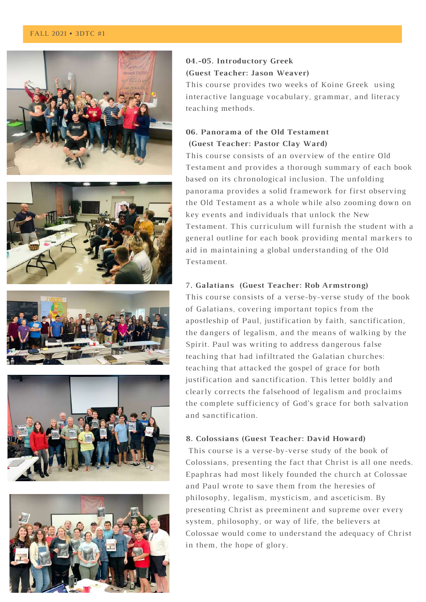#### FALL 2021 • 3DTC #1











### **04.-05. Introductory Greek (Guest Teacher: Jason Weaver)**

This course provides two weeks of Koine Greek using interactive language vocabulary, grammar, and literacy teaching methods.

### **06. Panorama of the Old Testament (Guest Teacher: Pastor Clay Ward)**

This course consists of an overview of the entire Old Testament and provides a thorough summary of each book based on its chronological inclusion. The unfolding panorama provides a solid framework for first observing the Old Testament as a whole while also zooming down on key events and individuals that unlock the New Testament. This curriculum will furnish the student with a general outline for each book providing mental markers to aid in maintaining a global understanding of the Old Testament.

#### 7**. Galatians (Guest Teacher: Rob Armstrong)**

This course consists of a verse-by-verse study of the book of Galatians, covering important topics from the apostleship of Paul, justification by faith, sanctification, the dangers of legalism, and the means of walking by the Spirit. Paul was writing to address dangerous false teaching that had infiltrated the Galatian churches: teaching that attacked the gospel of grace for both justification and sanctification. This letter boldly and clearly corrects the falsehood of legalism and proclaims the complete sufficiency of God's grace for both salvation and sanctification.

#### **8. Colossians (Guest Teacher: David Howard)**

This course is a verse-by-verse study of the book of Colossians, presenting the fact that Christ is all one needs. Epaphras had most likely founded the church at Colossae and Paul wrote to save them from the heresies of philosophy, legalism, mysticism, and asceticism. By presenting Christ as preeminent and supreme over every system, philosophy, or way of life, the believers at Colossae would come to understand the adequacy of Christ in them, the hope of glory.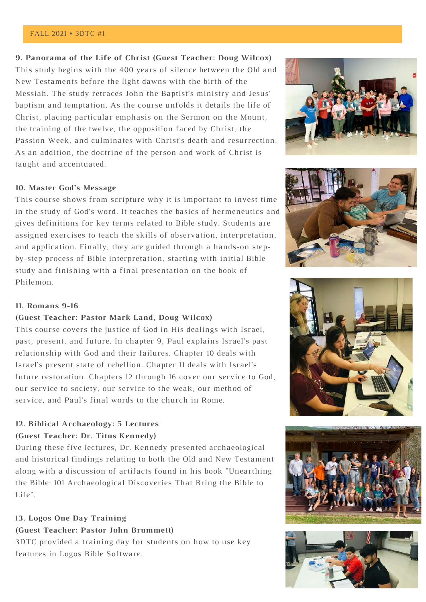#### FALL 2021 • 3DTC #1

#### **9. Panorama of the Life of Christ (Guest Teacher: Doug Wilcox)**

This study begins with the 400 years of silence between the Old and New Testaments before the light dawns with the birth of the Messiah. The study retraces John the Baptist's ministry and Jesus' baptism and temptation. As the course unfolds it details the life of Christ, placing particular emphasis on the Sermon on the Mount, the training of the twelve, the opposition faced by Christ, the Passion Week, and culminates with Christ's death and resurrection. As an addition, the doctrine of the person and work of Christ is taught and accentuated.

#### **10. Master God's Message**

This course shows from scripture why it is important to invest time in the study of God's word. It teaches the basics of hermeneutics and gives definitions for key terms related to Bible study. Students are assigned exercises to teach the skills of observation, interpretation, and application. Finally, they are guided through a hands-on stepby-step process of Bible interpretation, starting with initial Bible study and finishing with a final presentation on the book of Philemon.





#### **11. Romans 9-16**

#### **(Guest Teacher: Pastor Mark Land, Doug Wilcox)**

This course covers the justice of God in His dealings with Israel, past, present, and future. In chapter 9, Paul explains Israel's past relationship with God and their failures. Chapter 10 deals with Israel's present state of rebellion. Chapter 11 deals with Israel's future restoration. Chapters 12 through 16 cover our service to God, our service to society, our service to the weak, our method of service, and Paul's final words to the church in Rome.

### **12. Biblical Archaeology: 5 Lectures (Guest Teacher: Dr. Titus Kennedy)**

During these five lectures, Dr. Kennedy presented archaeological and historical findings relating to both the Old and New Testament along with a discussion of artifacts found in his book "Unearthing the Bible: 101 [Archaeological](https://www.amazon.com/Unearthing-Bible-Archaeological-Discoveries-Bring/dp/0736979158/ref=sr_1_1?keywords=unearthing+the+bible&qid=1639873014&sr=8-1) Discoveries That Bring the Bible to Life".

## 1**3. Logos One Day Training (Guest Teacher: Pastor John Brummett)**

3DTC provided a training day for students on how to use key features in Logos Bible Software.





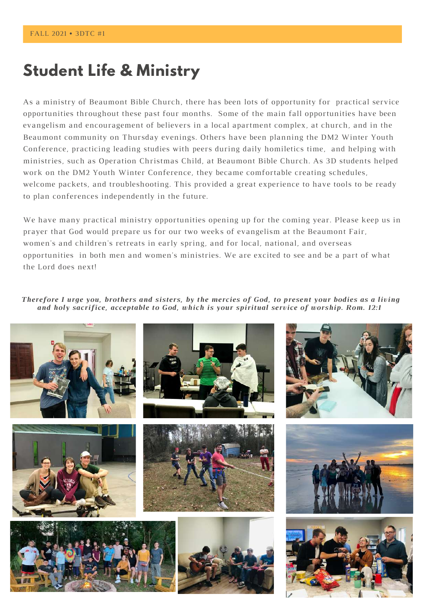## **Student Life & Ministry**

As a ministry of Beaumont Bible Church, there has been lots of opportunity for practical service opportunities throughout these past four months. Some of the main fall opportunities have been evangelism and encouragement of believers in a local apartment complex, at church, and in the Beaumont community on Thursday evenings. Others have been planning the DM2 Winter Youth Conference, practicing leading studies with peers during daily homiletics time, and helping with ministries, such as Operation Christmas Child, at Beaumont Bible Church. As 3D students helped work on the DM2 Youth Winter Conference, they became comfortable creating schedules, welcome packets, and troubleshooting. This provided a great experience to have tools to be ready to plan conferences independently in the future.

We have many practical ministry opportunities opening up for the coming year. Please keep us in prayer that God would prepare us for our two weeks of evangelism at the Beaumont Fair, women's and children's retreats in early spring, and for local, national, and overseas opportunities in both men and women's ministries. We are excited to see and be a part of what the Lord does next!

Therefore I urge you, brothers and sisters, by the mercies of God, to present your bodies as a living *and holy sacrifice, acceptable to God, which is your spiritual service of worship. Rom. 12:1*

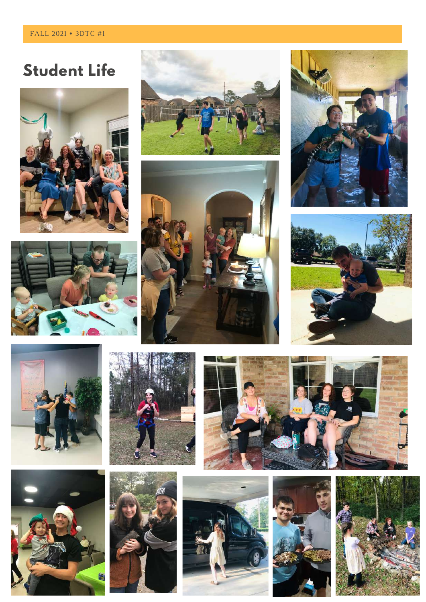# **Student Life**